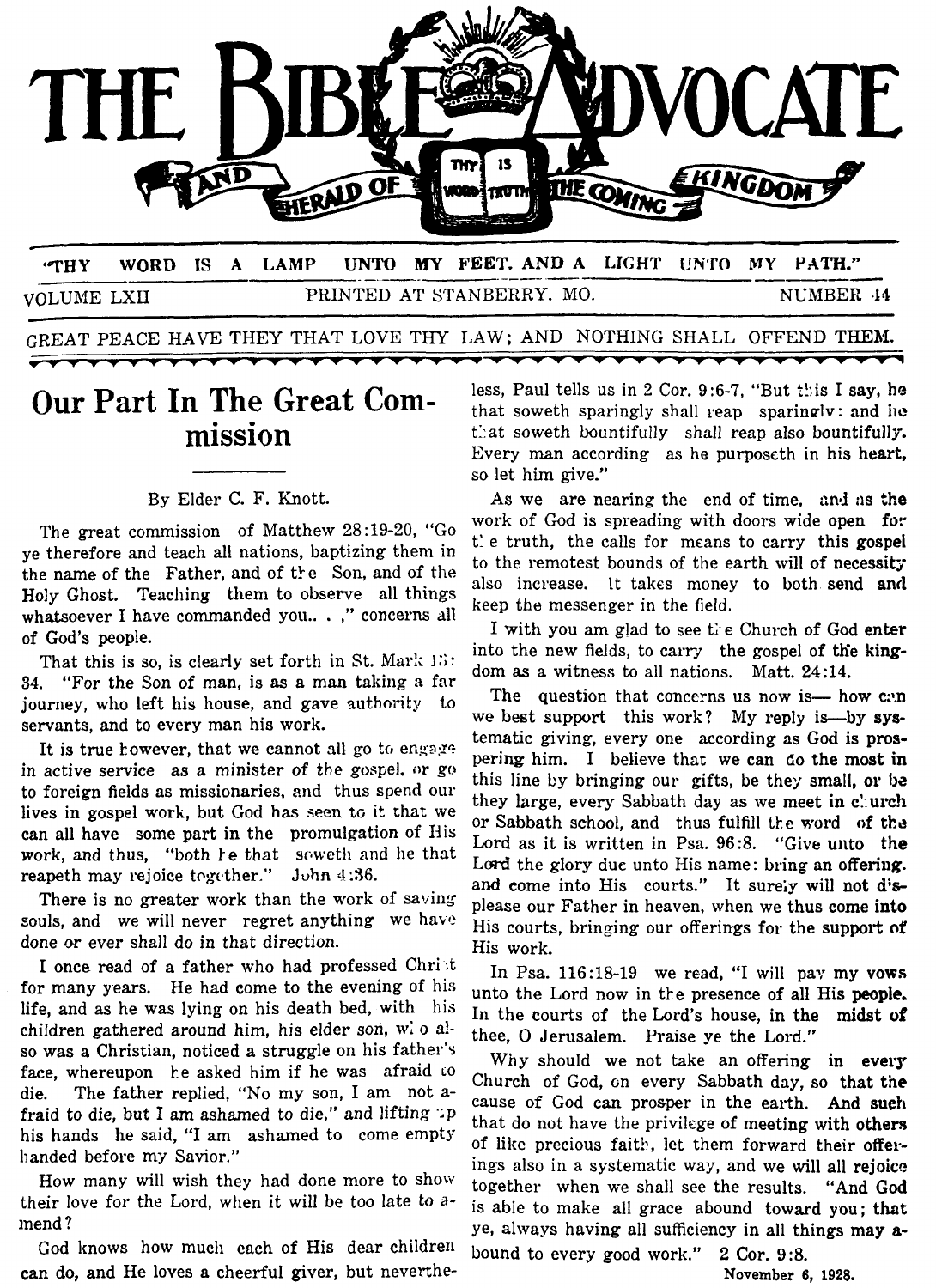

VOLUME LXII PRINTED AT STANBERRY. MO. **NUMBER -14** 

GREAT PEACE HAVE THEY THAT LOVE THY LAW; **AND** NOTHING SHALL **OFFEND THEM.** 

# **Our Part In The Great Com-** .. **mission**

### By Elder C. F. Knott.

The great commission of Matthew **28:19-20,** "Go ye therefore and teach all nations, baptizing them in the name of the Father, and of the Son, and of the Holy Ghost. Teaching them to observe all things whatsoever I have commanded you...," concerns all of God's people.

That this is so, is clearly set forth in St. Mark  $15$ : 34. **"For the Son of man, is as a man taking a far** journey, who left his house, and gave authority to servants, and to every man his work.

It is true however, that we cannot all go to engage in active service as a minister of the gospel. or go to foreign fieids as missionaries, and thus spend our lives in gospel work, but God has seen to it that we can all have some part in the promulgation of His work, and thus, "both *ke* that soweth and he that reapeth may rejoice together." **Jvhn :1:36.** 

There is no greater work than the work of saving souls, and we will never regret anything we have done or ever shall do in that direction.

I once read of a father who had professed Chri :t for many years. He had come to the evening of his life, and as he was lying on his death bed, with his children gathered around him, his elder son,  $w_i$  o also was a Christian, noticed a struggle on his father's face, whereupon be asked him if he was afraid **LO**  die. The father replied, "No my son, I **am** not afraid to die, but I am ashamed to die," and lifting **'.P**  his hands he said, "I am ashamed to come empty handed before my Savior."

How many will wish they had done more to show their love for the Lord, when it will be too late to *d*inend ?

God knows how much each of His dear children can **do,** and He loves a cheerful giver, but neverthe-

less, Paul tells us in 2 Cor. 9:6-7, "But this I say, he that soweth sparingly shall reap sparingly: and he that soweth bountifully shall reap also bountifully. Every man according as he purposcth in his heart, so let him give."

As we are nearing the end of time, and as the work of God is spreading with doors wide open for t: e truth, the calls for means to carry this gospel to the remotest bounds of the earth will of necessity also increase. It takes money to both send and keep the messenger in the field.

I with you am glad to see the Church of God enter into the new fields, to carry the gospel of the kingdom **as** a witness to all nations. Matt. **24:14.** 

The question that concerns us now is- how c:n we best support this work? My reply is—by systematic giving, every one according as God **is** prospering him. I believe that we can Go the most **in**  this line by bringing our gifts, be they small, or **bz**  they large, every Sabbath day as we meet in church or Sabbath school, and thus fulfill the word of the Lord as it is written in Psa. **96:8.** "Give **unto the**  Lord the glory due unto His name: bring an offering. and come into His courts." It sure;y will not **d:s**please our Father in heaven, when we thus come into His courts, bringing our offerings for the support **of**  His work.

In Psa.  $116:18-19$  we read, "I will pay my **vows** unto the Lord now in tte presence of all His **people.**  In the courts of the Lord's house, in the **midst of**  thee, **0** Jerusalem. Praise ye the Lord."

Why should we not take an offering in every Church of God, on every Sabbath day, so that **the**  cause of God can prosper in the earth. **And** such that do not have the privilege of meeting with others of like precious faith, let them forward their **offer**ings also in a systematic way, and we will all rejoice together when we shall see the results. "And *God*  is able to make all grace abound toward **you; that**  ye, always having all sufficiency in all things may **a**bound to every good work." **2** Cor. **9:8.** 

**November** *6,* **1928.**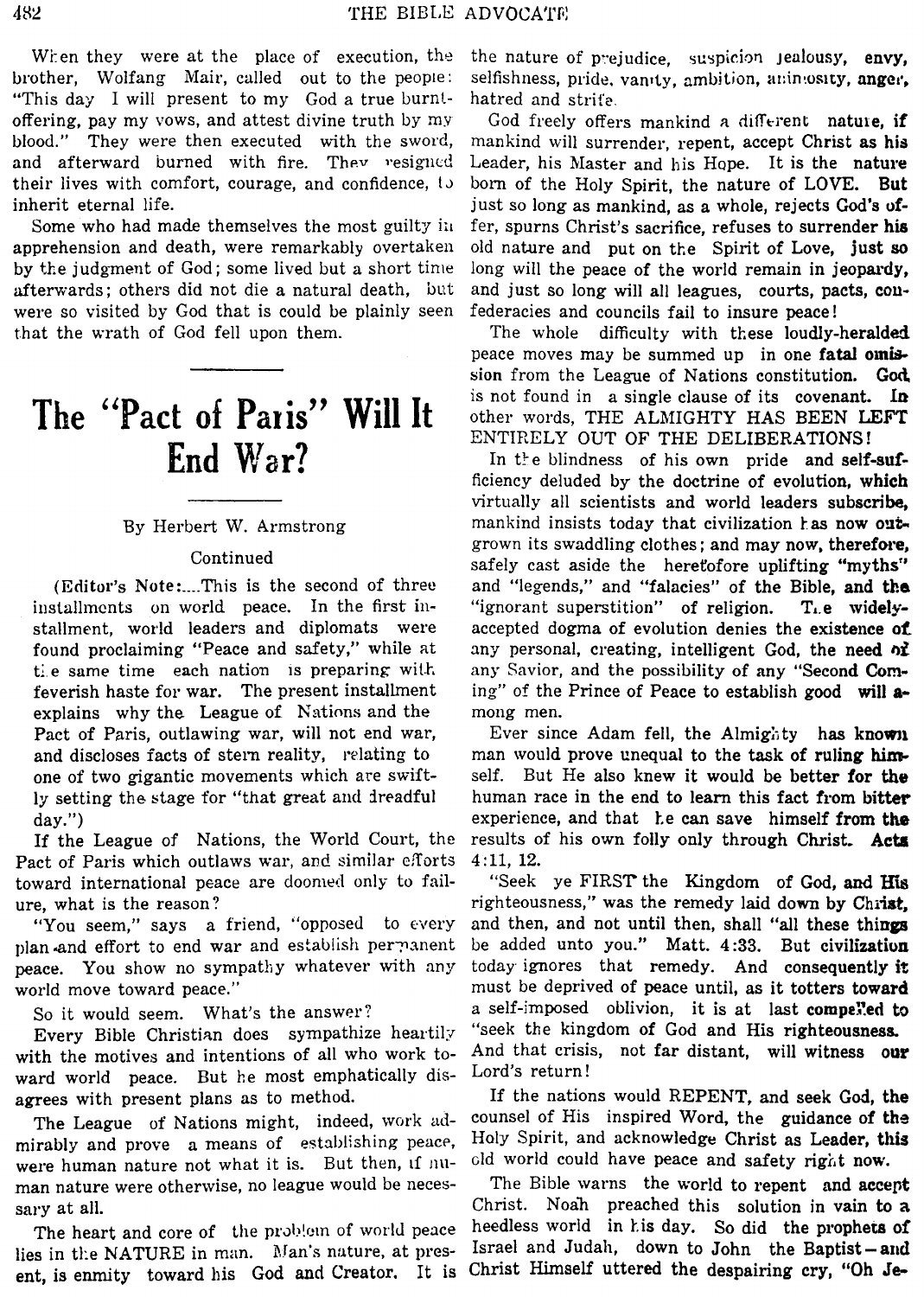When they were at the place of execution, the brother, Wolfang Mair, called out to the people: "This day I will present to my God a true burntoffering, pay my vows, and attest divine truth by my blood." They were then executed with the sword, and afterward burned with fire. They resigned their lives with comfort, courage, and confidence,  $\iota$ inherit eternal life.

Some who had made themselves the most guilty iil apprehension and death, were remarkably overtaken by the judgment of God; some lived but a short time afterwards; others did not die a natural death, but were so visited by God that is could be plainly seen that the wrath of God fell upon them.

## **The "Pact of Paris" Will It End Bar.** *r?*

### By Herbert W. Armstrong

#### Continued

**(Editor's Note:** .... This is the second of three installments on world peace. In the first installment, world leaders and diplomats were found proclaiming "Peace and safety," while at the same time each nation is preparing with feverish haste for war. The present installment explains why the League of Nations and the Pact of Paris, outlawing war, will not end war, and discloses facts of stern reality, relating to one of two gigantic movements which are swiftly setting the stage for "that great and dreadful day.")

If the League of Nations, the World Court, the Pact of Paris which outlaws war, and similar efforts toward international peace are doonied only to failure, what is the reason?

"You seem," says a friend, "opposed to every plan.and effort to end war and establish peryanent peace. You show no sympathy whatever with any world move toward peace."

So it would seem. What's the answer?

Every Bible Christian does sympathize heartily with the motives and intentions of all who work toward world peace. But he most emphatically disagrees with present plans as to method.

The League of Nations might, indeed, work admirably and prove **a** means of establishing peace, were human nature not what it is. But then, **I€** numan nature were otherwise, no league would be necessary at ail.

The heart and core of the problem of world peace lies in the NATURE in man. Man's nature, at present, is enmity toward his God and Creator. It is Christ Himself uttered the despairing **cry,** "Oh **Je-**

the nature of prejudice, suspicion  $j$ ealousy, envy, selfishness, pride. vanity, ambition, animiosity, anger, hatred and strife.

God freely offers mankind a different nature, if mankind will surrender, repent, accept Christ as his Leader, his Master and his Hope. It is the nature born of the Holy Spirit, the nature of LOVE. But just so long as mankind, as a whole, rejects God's offer, spurns Christ's sacrifice, refuses to surrender **his**  old nature and put on the Spirit of Love, just **SO**  long will the peace of the world remain in jeopardy, and just so long will all leagues, courts, pacts, *COW*  federacies and councils fail to insure peace!

The whole difficulty with these loudly-heralded peace moves may be summed up in one fatal omission from the League of Nations constitution. **Go4**  is not found in **a** single clause of its covenant. *In*  other words, THE ALMIGHTY HAS BEEN LEFT ENTIRELY OUT OF THE DELIBERATIONS !

In the blindness of his own pride and self-sufficiency deluded **by** the doctrine of evolution, which virtually all scientists and world leaders subscribe, mankind insists today that civilization has now outgrown its swaddling clothes ; and may now, therefore, safely cast aside the heretofore uplifting **"myths"**  and "legends," and "falacies" of the Bible, and **tha**  "ignorant superstition" of religion. T<sub>1.</sub>e widelyaccepted dogma of evolution denies the existence **of**  any personal, creating, intelligent God, the need of any Savior, and the possibility of any "Second **Corn**ing" of the Prince of Peace to establish good **will** *a*mong men.

Ever since Adam fell, the Almighty has known man would prove unequal to the task of ruling **him**  self. But He also knew it would be better for the human race in the end to learn this fact from **bitter**  experience, and that he can save himself from the results of his own folly only through Christ, **Acts 4:11, 12.** 

"Seek ye FIRST the Kingdom of God, and His righteousness," was the remedy laid down by Christ, and then, and not until then, shall "all these things be added unto you." Matt. **4:33.** But civilizatiun today ignores that remedy. And consequently **is**  must be deprived of peace until, as it totters toward a self-imposed oblivion, it is at last compelled to "seek the kingdom of God and His righteousness. And that crisis, not far distant, will witness **our**  Lord's return!

If the nations would REPENT, and seek God, the counsel of His inspired Word, the guidance of **ths**  Holy Spirit, and acknowledge Christ **as** Leader, this cld world could have peace and safety right now.

The Bible warns the world to repent and accept Christ. Noah preached this solution in vain to **a**  heedless world in kis day. So did the prophets of Israel and Judah, down to John the Baptist-and